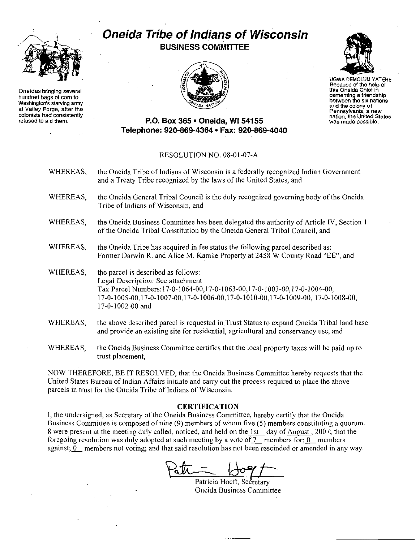

**Oneidas bringing several hundred bagsofcorn to Washington's** starvlnq **army at Valley Forge, after the colonists had consistently refused to aid them.**

## **Oneida Tribe ofIndians of Wisconsin BUSINESS COMMITIEE**





UGWADEMOLUM YATEHE **Because of the help of this Oneida Chief in cementing a friendship between thesixnations and the colony of** Pennsylvania, **a new nation, the United States was made possible.**

## **P.o. Box 365· Oneida,** WI 54155 **Telephone: 920-869-4364· Fax: 920-869-4040**

## RESOLUTION NO. 08-01-07-A

- WHEREAS, the Oneida Tribe of Indians of Wisconsin is a federally recognized Indian Government and a Treaty Tribe recognized by the laws of the United States, and WHEREAS, the Oneida General Tribal Council is the duly recognized governing body of the Oneida Tribe of Indians of Wisconsin, and
- WHEREAS, the Oneida Business Committee has been delegated the authority of Article IV, Section I of the Oneida Tribal Constitution by the Oneida General Tribal Council, and
- WHEREAS, the Oneida Tribe has acquired in fee status the following parcel described as: Former Darwin R. and Alice M. Kamke Property at 2458 W County Road "EE", and
- WHEREAS, the parcel is described as follows: Legal Description: See attachment Tax Parcel Numbers: 17-0-1064-00, 17-0-1063-00, 17-0-1 003-00, 17-0-1004-00, 17-0-1005-00,17-0-1007-00,17-0-1006-00,17-0-1010-00,17-0-1009-00, 17-0-1008-00, 17-0-1002-00 and
- WHEREAS, the above described parcel is requested in Trust Status to expand Oneida Tribal land base and provide an existing site for residential, agricultural and conservancy use, and
- WHEREAS, the Oneida Business Committee certifies that the local property taxes will be paid up to trust placement,

NOW THEREFORE, BE IT RESOLVED, that the Oneida Business Committee hereby requests that the United States Bureau of Indian Affairs initiate and carry out the process required to place the above parcels in trust for the Oneida Tribe of Indians of Wisconsin.

## CERTlFICA**TlON**

I, the undersigned, as Secretary of the Oneida Business Committee, hereby certify that the Oneida Business Committee is composed of nine (9) members of whom five (5) members constituting a quorum. 8 were present at the meeting duly called, noticed, and held on the  $1st$  day of August, 2007; that the foregoing resolution was duly adopted at such meeting by a vote of  $7$  members for; 0 members against; 0 members not voting; and that said resolution has not been rescinded or amended in any way.

Patricia

Patricia Hoeft, Secretary Oneida Business Committee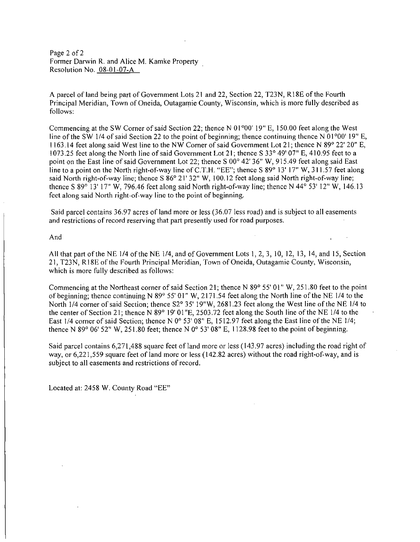Page 2 of 2 Former Darwin R. and Alice M. Kamke Property Resolution No. 08-01-07-A

A parcel ofland being part of Government Lots 21 and 22, Section 22, T23N, RI8E ofthe Fourth Principal Meridian, Town of Oneida, Outagamie County, Wisconsin, which is more fully described as follows:

Commencing at the SW Corner of said Section 22; thence N  $01^{\circ}00'$  19" E, 150.00 feet along the West line of the SW 1/4 of said Section 22 to the point of beginning; thence continuing thence N 01 $\degree$ 00' 19" E, 1163.14 feet along said West line to the NW Corner ofsaid Government Lot 21; thence N *89°* 22' 20" E, 1073.25 feet along the North line of said Government Lot 21; thence S *33°* 49' 07" E, 410.95 feet to a point on the East line of said Government Lot 22; thence S 00° 42' 36" W, 915.49 feet along said East line to a point on the North right-of-way line of C.T.H. "EE"; thence S 89° 13' 17" W, 311.57 feet along said North right-of-way line; thence S *86°* 21' 32" W, 100.12 feet along said North right-of-way line; thence S *89°* 13' 17" W, 796.46 feet along said North right-of-way line; thence N *44°* 53' 12" W, 146.13 feet along said North right-of-way line to the point of beginning.

Said parcel contains 36.97 acres of land more or less (36.07 less road) and is subject to all easements and restrictions of record reserving that part presently used for road purposes.

And

All that part of the NE 1/4 of the NE 1/4, and of Government Lots 1, 2, 3, 10, 12, 13, 14, and 15, Section 21, T23N, RI8E of the Fourth Principal Meridian, Town of Oneida, Outagamie County, Wisconsin, which is more fully described as follows:

Commencing at the Northeast corner ofsaid Section 21; thence N *89°* 55' 01" W, 251.80 feet to the point of beginning; thence continuing N *89°* 55' 01" W, 2171.54 feet along the North line of the NE 1/4 to the North 1/4 corner ofsaid Section; thence S2° 35' 19"W, 2681.23 feet along the West line of the NE 1/4 to the center of Section 21; thence N *89°* 19' 01"E, 2503.72 feet along the South line of the NE 1/4 to the East 1/4 corner of said Section; thence N  $0^{\circ}$  53' 08" E, 1512.97 feet along the East line of the NE 1/4; thence N 89° 06' 52" W, 251.80 feet; thence N  $0^{\circ}$  53' 08" E, 1128.98 feet to the point of beginning.

Said parcel contains 6,271,488 square feet of land more or less (143.97 acres) including the road right of way, or 6,221,559 square feet of land more or less (142.82 acres) without the road right-of-way, and is subject to all easements and restrictions of record.

Located at: 2458 W. County Road "EE"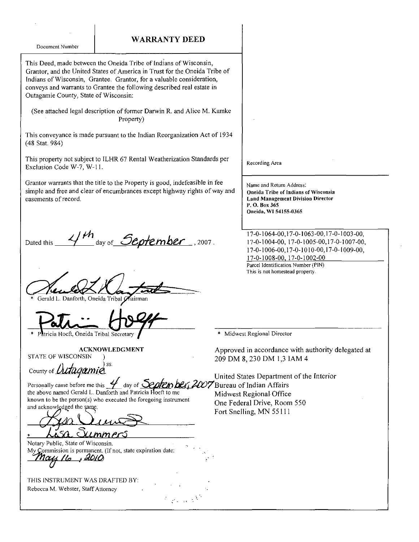WARRANTY DEED Document Number This Deed, made between the Oneida Tribe of Indians of Wisconsin, Grantor, and the United States of America in Trust for the Oneida Tribe of Indians of Wisconsin, Grantee. Grantor, for a valuable consideration, conveys and warrants to Grantee the following described real estate in Outagamie County, State of Wisconsin: (See attached legal description of former Darwin R. and Alice M. Kamke Property) This conveyance is made pursuant to the Indian Reorganization Act of 1934 (48 Stat. 984) This property not subject to ILHR 67 Rental Weatherization Standards per Recording Area Exclusion Code W-7, W-11. Grantor warrants that the title to the Property is good, indefeasible in fee Name and Return Address: simple and free and clear of encumbrances except highway rights of way and **Oneida Tribe of Indians of Wisconsin** easements of record. **Land Management Division Director** P.O. Box 365 Oneida, WI 54155-0365 17-0-1064-00, 17-0-1063-00, 17-0-1003-00, day of September, 2007. 17-0-1004-00, 17-0-1005-00, 17-0-1007-00, Dated this 17-0-1006-00, 17-0-1010-00, 17-0-1009-00, 17-0-1008-00, 17-0-1002-00 Parcel Identification Number (PIN) This is not homestead property. Gerald L. Danforth, Oneida Tribal Chairman Midwest Regional Director tricia Hoeft, Oneida Tribal Secretary **ACKNOWLEDGMENT** Approved in accordance with authority delegated at **STATE OF WISCONSIN**  $\lambda$ 209 DM 8, 230 DM 1,3 IAM 4  $\sum$ County of *Dutagami*a United States Department of the Interior Personally came before me this 4 day of Septen bey 2007 Bureau of Indian Affairs the above named Gerald L. Danforth and Patricia Hoeft to me Midwest Regional Office known to be the person $(s)$  who executed the foregoing instrument One Federal Drive, Room 550 and acknowledged the same. Fort Snelling, MN 55111  $\mathsf{C}$ <u>ummers</u> Notary Public, State of Wisconsin. My Commission is permanent. (If not, state expiration date: <u>ry 16</u> <u>, 2010</u> THIS INSTRUMENT WAS DRAFTED BY: Rebecca M. Webster, Staff Attorney  $\varphi$  and  $\delta^k$